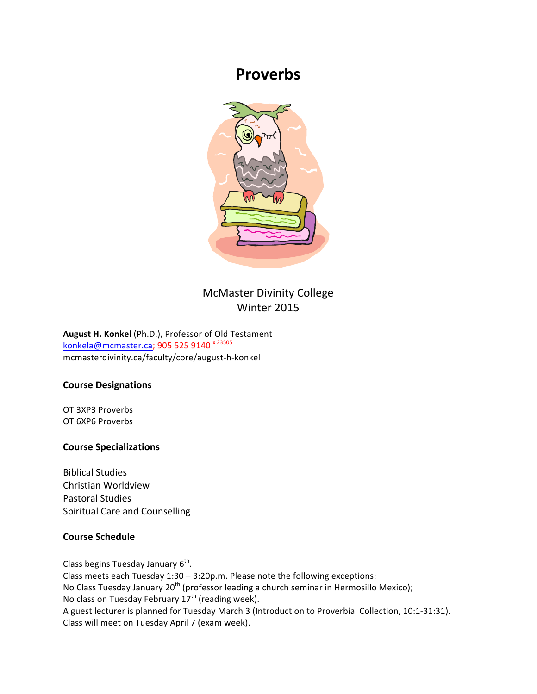# **Proverbs**



# McMaster Divinity College Winter 2015

August H. Konkel (Ph.D.), Professor of Old Testament konkela@mcmaster.ca; 905 525 9140<sup>x 23505</sup> mcmasterdivinity.ca/faculty/core/august-h-konkel

### **Course Designations**

OT 3XP3 Proverbs OT 6XP6 Proverbs

### **Course Specializations**

Biblical Studies Christian Worldview Pastoral Studies Spiritual Care and Counselling

### **Course Schedule**

Class begins Tuesday January  $6<sup>th</sup>$ . Class meets each Tuesday  $1:30 - 3:20p.m.$  Please note the following exceptions: No Class Tuesday January 20<sup>th</sup> (professor leading a church seminar in Hermosillo Mexico); No class on Tuesday February  $17<sup>th</sup>$  (reading week). A guest lecturer is planned for Tuesday March 3 (Introduction to Proverbial Collection, 10:1-31:31). Class will meet on Tuesday April 7 (exam week).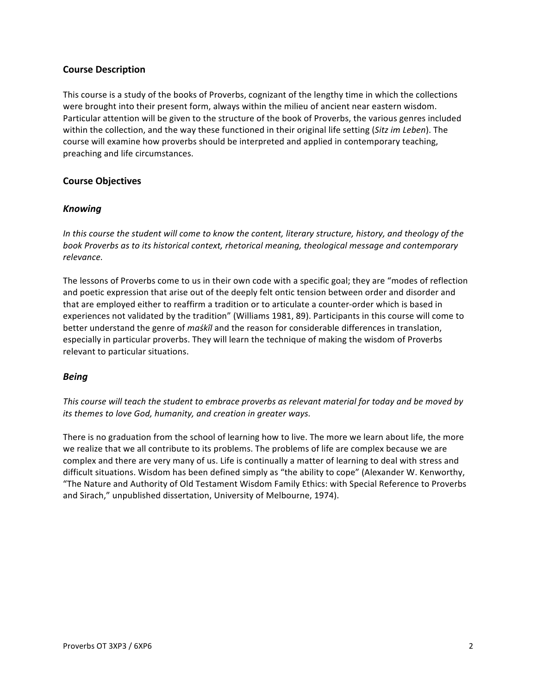### **Course Description**

This course is a study of the books of Proverbs, cognizant of the lengthy time in which the collections were brought into their present form, always within the milieu of ancient near eastern wisdom. Particular attention will be given to the structure of the book of Proverbs, the various genres included within the collection, and the way these functioned in their original life setting (*Sitz im Leben*). The course will examine how proverbs should be interpreted and applied in contemporary teaching, preaching and life circumstances.

### **Course Objectives**

### *Knowing*

In this course the student will come to know the content, literary structure, history, and theology of the book Proverbs as to its historical context, rhetorical meaning, theological message and contemporary *relevance.*

The lessons of Proverbs come to us in their own code with a specific goal; they are "modes of reflection and poetic expression that arise out of the deeply felt ontic tension between order and disorder and that are employed either to reaffirm a tradition or to articulate a counter-order which is based in experiences not validated by the tradition" (Williams 1981, 89). Participants in this course will come to better understand the genre of *maśkîl* and the reason for considerable differences in translation, especially in particular proverbs. They will learn the technique of making the wisdom of Proverbs relevant to particular situations.

### *Being*

This course will teach the student to embrace proverbs as relevant material for today and be moved by *its* themes to love God, humanity, and creation in greater ways.

There is no graduation from the school of learning how to live. The more we learn about life, the more we realize that we all contribute to its problems. The problems of life are complex because we are complex and there are very many of us. Life is continually a matter of learning to deal with stress and difficult situations. Wisdom has been defined simply as "the ability to cope" (Alexander W. Kenworthy, "The Nature and Authority of Old Testament Wisdom Family Ethics: with Special Reference to Proverbs and Sirach," unpublished dissertation, University of Melbourne, 1974).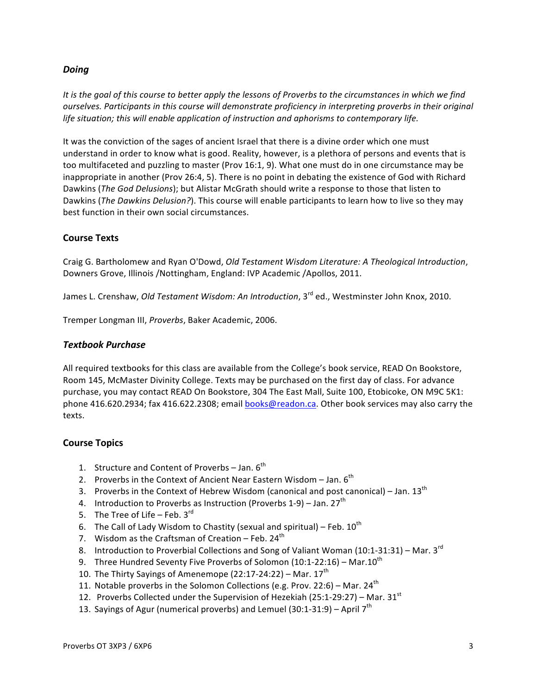### *Doing*

*It* is the goal of this course to better apply the lessons of Proverbs to the circumstances in which we find *ourselves.* Participants in this course will demonstrate proficiency in interpreting proverbs in their original life situation; this will enable application of instruction and aphorisms to contemporary life.

It was the conviction of the sages of ancient Israel that there is a divine order which one must understand in order to know what is good. Reality, however, is a plethora of persons and events that is too multifaceted and puzzling to master (Prov 16:1, 9). What one must do in one circumstance may be inappropriate in another (Prov 26:4, 5). There is no point in debating the existence of God with Richard Dawkins (The God Delusions); but Alistar McGrath should write a response to those that listen to Dawkins (*The Dawkins Delusion?*). This course will enable participants to learn how to live so they may best function in their own social circumstances.

### **Course Texts**

Craig G. Bartholomew and Ryan O'Dowd, *Old Testament Wisdom Literature: A Theological Introduction*, Downers Grove, Illinois /Nottingham, England: IVP Academic /Apollos, 2011.

James L. Crenshaw, *Old Testament Wisdom: An Introduction*, 3<sup>rd</sup> ed., Westminster John Knox, 2010.

Tremper Longman III, Proverbs, Baker Academic, 2006.

### *Textbook Purchase*

All required textbooks for this class are available from the College's book service, READ On Bookstore, Room 145, McMaster Divinity College. Texts may be purchased on the first day of class. For advance purchase, you may contact READ On Bookstore, 304 The East Mall, Suite 100, Etobicoke, ON M9C 5K1: phone 416.620.2934; fax 416.622.2308; email books@readon.ca. Other book services may also carry the texts.

### **Course Topics**

- 1. Structure and Content of Proverbs  $-$  Jan.  $6<sup>th</sup>$
- 2. Proverbs in the Context of Ancient Near Eastern Wisdom Jan.  $6<sup>th</sup>$
- 3. Proverbs in the Context of Hebrew Wisdom (canonical and post canonical) Jan.  $13^{th}$
- 4. Introduction to Proverbs as Instruction (Proverbs 1-9) Jan. 27<sup>th</sup>
- 5. The Tree of Life Feb.  $3^{\text{rd}}$
- 6. The Call of Lady Wisdom to Chastity (sexual and spiritual) Feb.  $10^{\text{th}}$
- 7. Wisdom as the Craftsman of Creation  $-$  Feb. 24<sup>th</sup>
- 8. Introduction to Proverbial Collections and Song of Valiant Woman (10:1-31:31) Mar.  $3^{rd}$
- 9. Three Hundred Seventy Five Proverbs of Solomon (10:1-22:16) Mar.10<sup>th</sup>
- 10. The Thirty Sayings of Amenemope  $(22:17-24:22)$  Mar.  $17<sup>th</sup>$
- 11. Notable proverbs in the Solomon Collections (e.g. Prov. 22:6) Mar. 24<sup>th</sup>
- 12. Proverbs Collected under the Supervision of Hezekiah (25:1-29:27) Mar. 31<sup>st</sup>
- 13. Sayings of Agur (numerical proverbs) and Lemuel (30:1-31:9) April  $7<sup>th</sup>$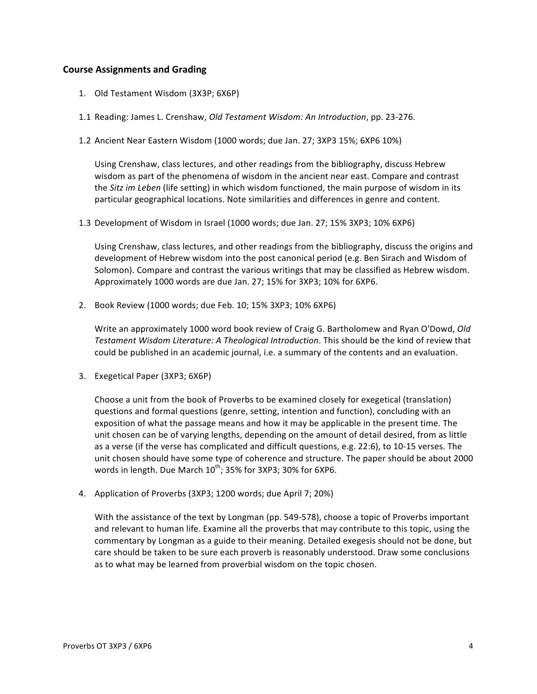### **Course Assignments and Grading**

- 1. Old Testament Wisdom (3X3P; 6X6P)
- 1.1 Reading: James L. Crenshaw, *Old Testament Wisdom: An Introduction*, pp. 23-276.
- 1.2 Ancient Near Eastern Wisdom (1000 words; due Jan. 27; 3XP3 15%; 6XP6 10%)

Using Crenshaw, class lectures, and other readings from the bibliography, discuss Hebrew wisdom as part of the phenomena of wisdom in the ancient near east. Compare and contrast the *Sitz im Leben* (life setting) in which wisdom functioned, the main purpose of wisdom in its particular geographical locations. Note similarities and differences in genre and content.

1.3 Development of Wisdom in Israel (1000 words; due Jan. 27; 15% 3XP3; 10% 6XP6)

Using Crenshaw, class lectures, and other readings from the bibliography, discuss the origins and development of Hebrew wisdom into the post canonical period (e.g. Ben Sirach and Wisdom of Solomon). Compare and contrast the various writings that may be classified as Hebrew wisdom. Approximately 1000 words are due Jan. 27; 15% for 3XP3; 10% for 6XP6.

2. Book Review (1000 words; due Feb. 10; 15% 3XP3; 10% 6XP6)

Write an approximately 1000 word book review of Craig G. Bartholomew and Ryan O'Dowd, *Old* Testament Wisdom Literature: A Theological Introduction. This should be the kind of review that could be published in an academic journal, i.e. a summary of the contents and an evaluation.

3. Exegetical Paper (3XP3; 6X6P)

Choose a unit from the book of Proverbs to be examined closely for exegetical (translation) questions and formal questions (genre, setting, intention and function), concluding with an exposition of what the passage means and how it may be applicable in the present time. The unit chosen can be of varying lengths, depending on the amount of detail desired, from as little as a verse (if the verse has complicated and difficult questions, e.g. 22:6), to 10-15 verses. The unit chosen should have some type of coherence and structure. The paper should be about 2000 words in length. Due March  $10^{th}$ ; 35% for 3XP3; 30% for 6XP6.

4. Application of Proverbs (3XP3; 1200 words; due April 7; 20%)

With the assistance of the text by Longman (pp. 549-578), choose a topic of Proverbs important and relevant to human life. Examine all the proverbs that may contribute to this topic, using the commentary by Longman as a guide to their meaning. Detailed exegesis should not be done, but care should be taken to be sure each proverb is reasonably understood. Draw some conclusions as to what may be learned from proverbial wisdom on the topic chosen.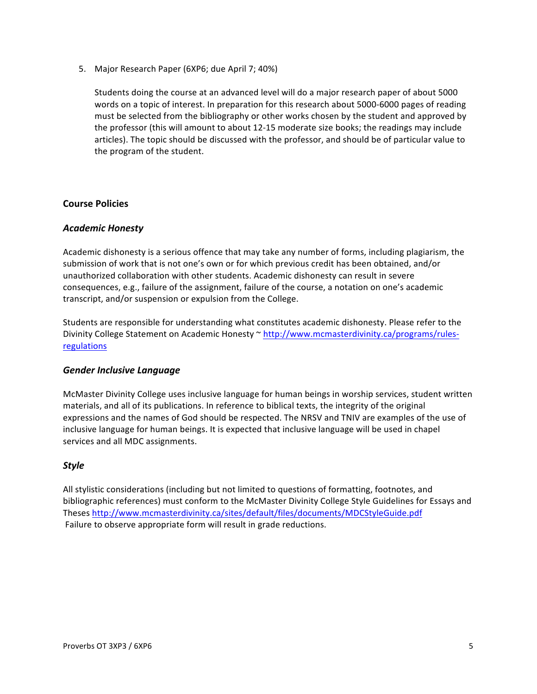5. Major Research Paper (6XP6; due April 7; 40%)

Students doing the course at an advanced level will do a major research paper of about 5000 words on a topic of interest. In preparation for this research about 5000-6000 pages of reading must be selected from the bibliography or other works chosen by the student and approved by the professor (this will amount to about 12-15 moderate size books; the readings may include articles). The topic should be discussed with the professor, and should be of particular value to the program of the student.

### **Course Policies**

### *Academic Honesty*

Academic dishonesty is a serious offence that may take any number of forms, including plagiarism, the submission of work that is not one's own or for which previous credit has been obtained, and/or unauthorized collaboration with other students. Academic dishonesty can result in severe consequences, e.g., failure of the assignment, failure of the course, a notation on one's academic transcript, and/or suspension or expulsion from the College.

Students are responsible for understanding what constitutes academic dishonesty. Please refer to the Divinity College Statement on Academic Honesty ~ http://www.mcmasterdivinity.ca/programs/rulesregulations

### *Gender Inclusive Language*

McMaster Divinity College uses inclusive language for human beings in worship services, student written materials, and all of its publications. In reference to biblical texts, the integrity of the original expressions and the names of God should be respected. The NRSV and TNIV are examples of the use of inclusive language for human beings. It is expected that inclusive language will be used in chapel services and all MDC assignments.

### *Style*

All stylistic considerations (including but not limited to questions of formatting, footnotes, and bibliographic references) must conform to the McMaster Divinity College Style Guidelines for Essays and Theses http://www.mcmasterdivinity.ca/sites/default/files/documents/MDCStyleGuide.pdf Failure to observe appropriate form will result in grade reductions.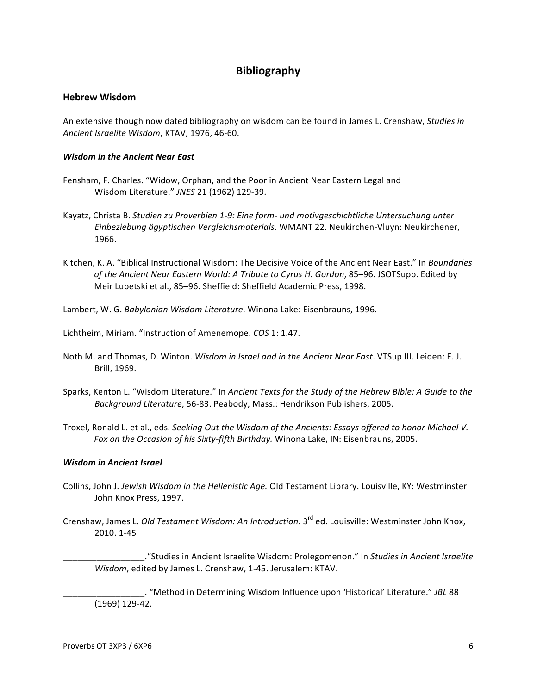## **Bibliography**

#### **Hebrew Wisdom**

An extensive though now dated bibliography on wisdom can be found in James L. Crenshaw, *Studies in* Ancient Israelite Wisdom, KTAV, 1976, 46-60.

#### *Wisdom in the Ancient Near East*

- Fensham, F. Charles. "Widow, Orphan, and the Poor in Ancient Near Eastern Legal and Wisdom Literature." JNES 21 (1962) 129-39.
- Kayatz, Christa B. Studien zu Proverbien 1-9: Eine form- und motivgeschichtliche Untersuchung unter Einbeziebung ägyptischen Vergleichsmaterials. WMANT 22. Neukirchen-Vluyn: Neukirchener, 1966.
- Kitchen, K. A. "Biblical Instructional Wisdom: The Decisive Voice of the Ancient Near East." In *Boundaries* of the Ancient Near Eastern World: A Tribute to Cyrus H. Gordon, 85–96. JSOTSupp. Edited by Meir Lubetski et al., 85-96. Sheffield: Sheffield Academic Press, 1998.

Lambert, W. G. *Babylonian Wisdom Literature*. Winona Lake: Eisenbrauns, 1996.

Lichtheim, Miriam. "Instruction of Amenemope. *COS* 1: 1.47.

- Noth M. and Thomas, D. Winton. *Wisdom in Israel and in the Ancient Near East*. VTSup III. Leiden: E. J. Brill, 1969.
- Sparks, Kenton L. "Wisdom Literature." In *Ancient Texts for the Study of the Hebrew Bible: A Guide to the* Background Literature, 56-83. Peabody, Mass.: Hendrikson Publishers, 2005.
- Troxel, Ronald L. et al., eds. *Seeking Out the Wisdom of the Ancients: Essays offered to honor Michael V.* Fox on the Occasion of his Sixty-fifth Birthday. Winona Lake, IN: Eisenbrauns, 2005.

#### *Wisdom in Ancient Israel*

- Collins, John J. Jewish Wisdom in the Hellenistic Age. Old Testament Library. Louisville, KY: Westminster John Knox Press, 1997.
- Crenshaw, James L. *Old Testament Wisdom: An Introduction*. 3<sup>rd</sup> ed. Louisville: Westminster John Knox, 2010. 1-45

\_\_\_\_\_\_\_\_\_\_\_\_\_\_\_\_\_."Studies in Ancient Israelite Wisdom: Prolegomenon." In *Studies in Ancient Israelite Wisdom*, edited by James L. Crenshaw, 1-45. Jerusalem: KTAV.

\_\_\_\_\_\_\_\_\_\_\_\_\_\_\_\_\_. "Method in Determining Wisdom Influence upon 'Historical' Literature." *JBL* 88 (1969) 129-42.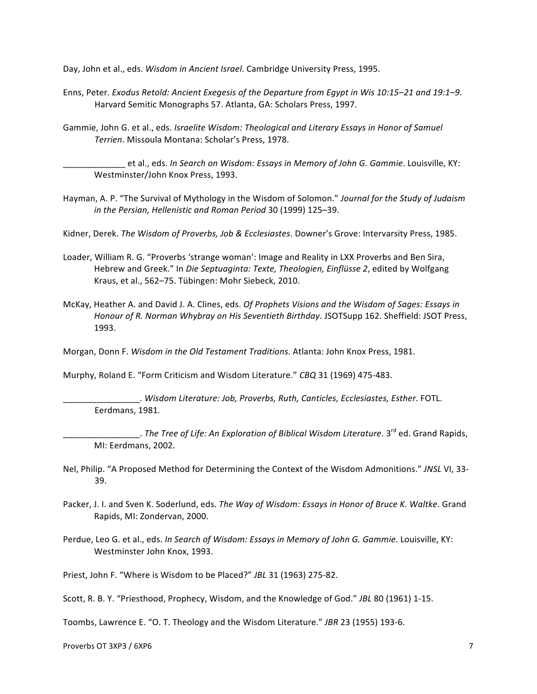Day, John et al., eds. *Wisdom in Ancient Israel*. Cambridge University Press, 1995.

- Enns, Peter. *Exodus Retold: Ancient Exegesis of the Departure from Egypt in Wis 10:15–21 and 19:1–9.* Harvard Semitic Monographs 57. Atlanta, GA: Scholars Press, 1997.
- Gammie, John G. et al., eds. *Israelite Wisdom: Theological and Literary Essays in Honor of Samuel Terrien*. Missoula Montana: Scholar's Press, 1978.

et al., eds. In Search on Wisdom: Essays in Memory of John G. Gammie. Louisville, KY: Westminster/John Knox Press, 1993.

- Hayman, A. P. "The Survival of Mythology in the Wisdom of Solomon." *Journal for the Study of Judaism* in the Persian, Hellenistic and Roman Period 30 (1999) 125–39.
- Kidner, Derek. *The Wisdom of Proverbs, Job & Ecclesiastes*. Downer's Grove: Intervarsity Press, 1985.
- Loader, William R. G. "Proverbs 'strange woman': Image and Reality in LXX Proverbs and Ben Sira, Hebrew and Greek." In *Die Septuaginta: Texte, Theologien, Einflüsse 2*, edited by Wolfgang Kraus, et al., 562-75. Tübingen: Mohr Siebeck, 2010.
- McKay, Heather A. and David J. A. Clines, eds. *Of Prophets Visions and the Wisdom of Sages: Essays in Honour of R. Norman Whybray on His Seventieth Birthday.* JSOTSupp 162. Sheffield: JSOT Press, 1993.

Morgan, Donn F. *Wisdom in the Old Testament Traditions*. Atlanta: John Knox Press, 1981.

Murphy, Roland E. "Form Criticism and Wisdom Literature." CBQ 31 (1969) 475-483.

\_\_\_\_\_\_\_\_\_\_\_\_\_\_\_\_. *Wisdom Literature: Job, Proverbs, Ruth, Canticles, Ecclesiastes, Esther*. FOTL. Eerdmans, 1981.

\_\_\_\_\_\_\_\_\_\_\_\_\_\_\_\_. *The Tree of Life: An Exploration of Biblical Wisdom Literature*. 3rd ed. Grand Rapids, MI: Eerdmans, 2002.

- Nel, Philip. "A Proposed Method for Determining the Context of the Wisdom Admonitions." *JNSL* VI, 33-39.
- Packer, J. I. and Sven K. Soderlund, eds. The Way of Wisdom: Essays in Honor of Bruce K. Waltke. Grand Rapids, MI: Zondervan, 2000.
- Perdue, Leo G. et al., eds. In Search of Wisdom: Essays in Memory of John G. Gammie. Louisville, KY: Westminster John Knox, 1993.

Priest, John F. "Where is Wisdom to be Placed?" JBL 31 (1963) 275-82.

Scott, R. B. Y. "Priesthood, Prophecy, Wisdom, and the Knowledge of God." JBL 80 (1961) 1-15.

Toombs, Lawrence E. "O. T. Theology and the Wisdom Literature." JBR 23 (1955) 193-6.

Proverbs OT 3XP3 / 6XP6 7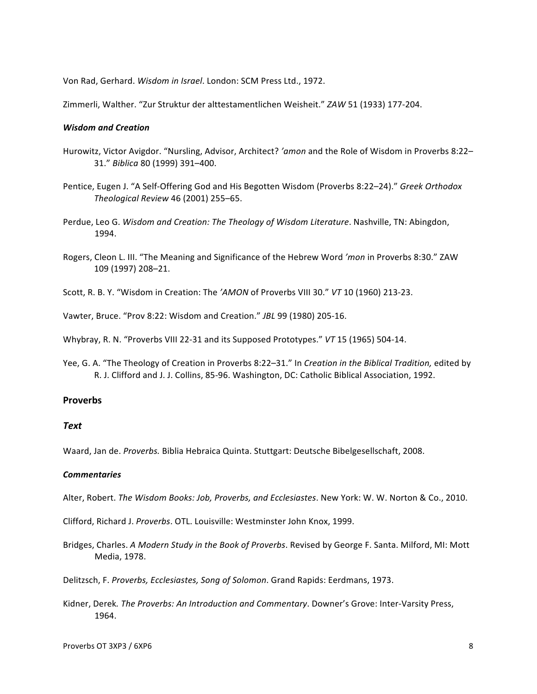Von Rad, Gerhard. Wisdom in Israel. London: SCM Press Ltd., 1972.

Zimmerli, Walther. "Zur Struktur der alttestamentlichen Weisheit." *ZAW* 51 (1933) 177-204.

#### *Wisdom and Creation*

- Hurowitz, Victor Avigdor. "Nursling, Advisor, Architect? 'amon and the Role of Wisdom in Proverbs 8:22-31." *Biblica* 80 (1999) 391–400.
- Pentice, Eugen J. "A Self-Offering God and His Begotten Wisdom (Proverbs 8:22–24)." Greek Orthodox *Theological Review* 46 (2001) 255–65.
- Perdue, Leo G. Wisdom and Creation: The Theology of Wisdom Literature. Nashville, TN: Abingdon, 1994.
- Rogers, Cleon L. III. "The Meaning and Significance of the Hebrew Word 'mon in Proverbs 8:30." ZAW 109 (1997) 208–21.
- Scott, R. B. Y. "Wisdom in Creation: The 'AMON of Proverbs VIII 30." VT 10 (1960) 213-23.

Vawter, Bruce. "Prov 8:22: Wisdom and Creation." *JBL* 99 (1980) 205-16.

Whybray, R. N. "Proverbs VIII 22-31 and its Supposed Prototypes." VT 15 (1965) 504-14.

Yee, G. A. "The Theology of Creation in Proverbs 8:22–31." In *Creation in the Biblical Tradition*, edited by R. J. Clifford and J. J. Collins, 85-96. Washington, DC: Catholic Biblical Association, 1992.

#### **Proverbs**

#### *Text*

Waard, Jan de. Proverbs. Biblia Hebraica Quinta. Stuttgart: Deutsche Bibelgesellschaft, 2008.

#### *Commentaries*

Alter, Robert. The Wisdom Books: Job, Proverbs, and Ecclesiastes. New York: W. W. Norton & Co., 2010.

Clifford, Richard J. Proverbs. OTL. Louisville: Westminster John Knox, 1999.

Bridges, Charles. A Modern Study in the Book of Proverbs. Revised by George F. Santa. Milford, MI: Mott Media, 1978.

Delitzsch, F. Proverbs, Ecclesiastes, Song of Solomon. Grand Rapids: Eerdmans, 1973.

Kidner, Derek. The Proverbs: An Introduction and Commentary. Downer's Grove: Inter-Varsity Press, 1964.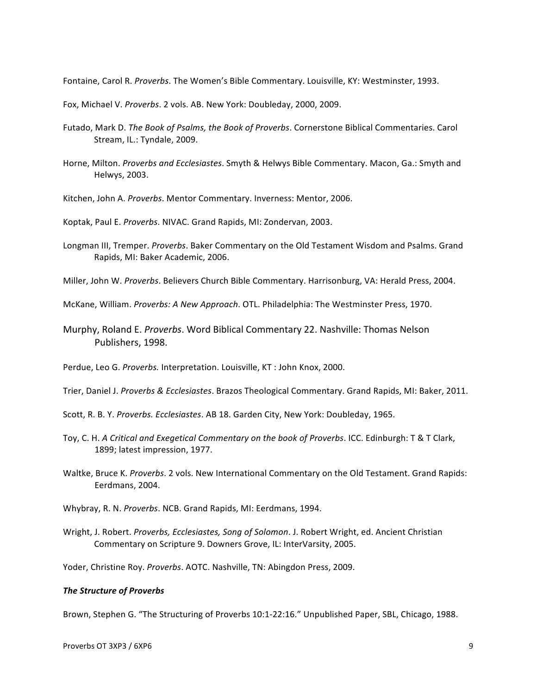Fontaine, Carol R. Proverbs. The Women's Bible Commentary. Louisville, KY: Westminster, 1993.

Fox, Michael V. Proverbs. 2 vols. AB. New York: Doubleday, 2000, 2009.

- Futado, Mark D. The Book of Psalms, the Book of Proverbs. Cornerstone Biblical Commentaries. Carol Stream, IL.: Tyndale, 2009.
- Horne, Milton. Proverbs and Ecclesiastes. Smyth & Helwys Bible Commentary. Macon, Ga.: Smyth and Helwys, 2003.
- Kitchen, John A. Proverbs. Mentor Commentary. Inverness: Mentor, 2006.

Koptak, Paul E. Proverbs. NIVAC. Grand Rapids, MI: Zondervan, 2003.

- Longman III, Tremper. Proverbs. Baker Commentary on the Old Testament Wisdom and Psalms. Grand Rapids, MI: Baker Academic, 2006.
- Miller, John W. Proverbs. Believers Church Bible Commentary. Harrisonburg, VA: Herald Press, 2004.

McKane, William. *Proverbs: A New Approach*. OTL. Philadelphia: The Westminster Press, 1970.

Murphy, Roland E. *Proverbs*. Word Biblical Commentary 22. Nashville: Thomas Nelson Publishers, 1998.

Perdue, Leo G. *Proverbs.* Interpretation. Louisville, KT : John Knox, 2000.

- Trier, Daniel J. Proverbs & Ecclesiastes. Brazos Theological Commentary. Grand Rapids, MI: Baker, 2011.
- Scott, R. B. Y. Proverbs. Ecclesiastes. AB 18. Garden City, New York: Doubleday, 1965.
- Toy, C. H. A Critical and Exegetical Commentary on the book of Proverbs. ICC. Edinburgh: T & T Clark, 1899; latest impression, 1977.
- Waltke, Bruce K. *Proverbs*. 2 vols. New International Commentary on the Old Testament. Grand Rapids: Eerdmans, 2004.
- Whybray, R. N. *Proverbs*. NCB. Grand Rapids, MI: Eerdmans, 1994.
- Wright, J. Robert. *Proverbs, Ecclesiastes, Song of Solomon*. J. Robert Wright, ed. Ancient Christian Commentary on Scripture 9. Downers Grove, IL: InterVarsity, 2005.

Yoder, Christine Roy. *Proverbs*. AOTC. Nashville, TN: Abingdon Press, 2009.

#### *The Structure of Proverbs*

Brown, Stephen G. "The Structuring of Proverbs 10:1-22:16." Unpublished Paper, SBL, Chicago, 1988.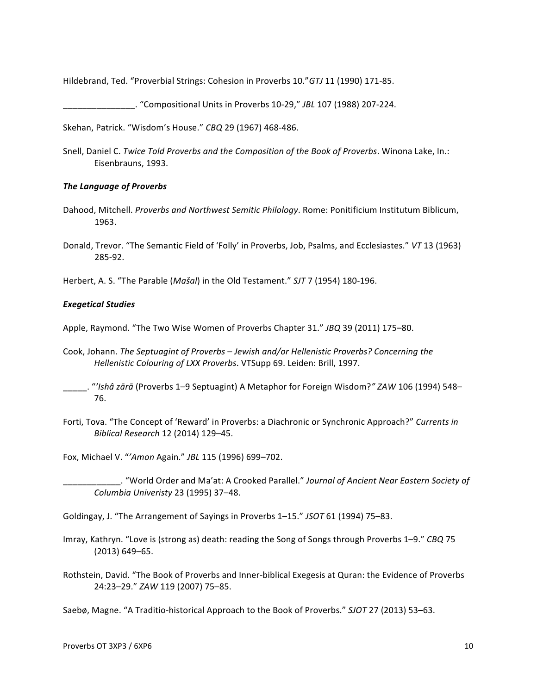Hildebrand, Ted. "Proverbial Strings: Cohesion in Proverbs 10." GTJ 11 (1990) 171-85.

\_\_\_\_\_\_\_\_\_\_\_\_\_\_\_. "Compositional Units in Proverbs 10-29," *JBL* 107 (1988) 207-224.

Skehan, Patrick. "Wisdom's House." CBQ 29 (1967) 468-486.

Snell, Daniel C. Twice Told Proverbs and the Composition of the Book of Proverbs. Winona Lake, In.: Eisenbrauns, 1993.

#### **The Language of Proverbs**

- Dahood, Mitchell. *Proverbs and Northwest Semitic Philology*. Rome: Ponitificium Institutum Biblicum, 1963.
- Donald, Trevor. "The Semantic Field of 'Folly' in Proverbs, Job, Psalms, and Ecclesiastes." VT 13 (1963) 285-92.

Herbert, A. S. "The Parable (*Mašal*) in the Old Testament." *SJT* 7 (1954) 180-196.

#### *Exegetical Studies*

Apple, Raymond. "The Two Wise Women of Proverbs Chapter 31." *JBQ* 39 (2011) 175–80.

- Cook, Johann. The Septuagint of Proverbs Jewish and/or Hellenistic Proverbs? Concerning the *Hellenistic Colouring of LXX Proverbs.* VTSupp 69. Leiden: Brill, 1997.
- \_\_\_\_\_. "*'Ishâ zārā* (Proverbs 1–9 Septuagint) A Metaphor for Foreign Wisdom?*" ZAW* 106 (1994) 548– 76.
- Forti, Tova. "The Concept of 'Reward' in Proverbs: a Diachronic or Synchronic Approach?" Currents in *Biblical Research* 12 (2014) 129–45.

Fox, Michael V. "*'Amon* Again." *JBL* 115 (1996) 699–702. 

\_\_\_\_\_\_\_\_\_\_\_\_. "World Order and Ma'at: A Crooked Parallel." *Journal of Ancient Near Eastern Society of Columbia Univeristy* 23 (1995) 37–48. 

Goldingay, J. "The Arrangement of Sayings in Proverbs 1-15." JSOT 61 (1994) 75-83.

- Imray, Kathryn. "Love is (strong as) death: reading the Song of Songs through Proverbs 1-9." CBQ 75 (2013) 649–65.
- Rothstein, David. "The Book of Proverbs and Inner-biblical Exegesis at Quran: the Evidence of Proverbs 24:23–29." *ZAW* 119 (2007) 75–85.

Saebø, Magne. "A Traditio-historical Approach to the Book of Proverbs." *SJOT* 27 (2013) 53–63.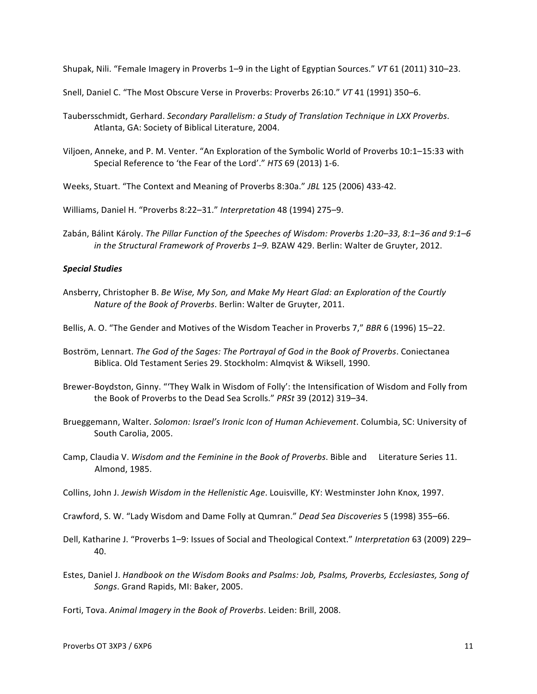Shupak, Nili. "Female Imagery in Proverbs 1–9 in the Light of Egyptian Sources." VT 61 (2011) 310–23.

Snell, Daniel C. "The Most Obscure Verse in Proverbs: Proverbs 26:10." VT 41 (1991) 350-6.

- Taubersschmidt, Gerhard. Secondary Parallelism: a Study of Translation Technique in LXX Proverbs. Atlanta, GA: Society of Biblical Literature, 2004.
- Viljoen, Anneke, and P. M. Venter. "An Exploration of the Symbolic World of Proverbs 10:1-15:33 with Special Reference to 'the Fear of the Lord'." HTS 69 (2013) 1-6.
- Weeks, Stuart. "The Context and Meaning of Proverbs 8:30a." *JBL* 125 (2006) 433-42.

Williams, Daniel H. "Proverbs 8:22-31." Interpretation 48 (1994) 275-9.

Zabán, Bálint Károly. *The Pillar Function of the Speeches of Wisdom: Proverbs 1:20–33, 8:1–36 and 9:1–6 in the Structural Framework of Proverbs 1-9. BZAW 429. Berlin: Walter de Gruyter, 2012.* 

#### *Special Studies*

Ansberry, Christopher B. *Be Wise, My Son, and Make My Heart Glad: an Exploration of the Courtly Nature of the Book of Proverbs. Berlin:* Walter de Gruyter, 2011.

Bellis, A. O. "The Gender and Motives of the Wisdom Teacher in Proverbs 7," *BBR* 6 (1996) 15–22.

- Boström, Lennart. The God of the Sages: The Portrayal of God in the Book of Proverbs. Coniectanea Biblica. Old Testament Series 29. Stockholm: Almqvist & Wiksell, 1990.
- Brewer-Boydston, Ginny. "'They Walk in Wisdom of Folly': the Intensification of Wisdom and Folly from the Book of Proverbs to the Dead Sea Scrolls." PRSt 39 (2012) 319-34.
- Brueggemann, Walter. Solomon: Israel's Ironic Icon of Human Achievement. Columbia, SC: University of South Carolia, 2005.
- Camp, Claudia V. Wisdom and the Feminine in the Book of Proverbs. Bible and Literature Series 11. Almond, 1985.
- Collins, John J. Jewish Wisdom in the Hellenistic Age. Louisville, KY: Westminster John Knox, 1997.
- Crawford, S. W. "Lady Wisdom and Dame Folly at Qumran." *Dead Sea Discoveries* 5 (1998) 355–66.
- Dell, Katharine J. "Proverbs 1-9: Issues of Social and Theological Context." Interpretation 63 (2009) 229-40.
- Estes, Daniel J. *Handbook on the Wisdom Books and Psalms: Job, Psalms, Proverbs, Ecclesiastes, Song of* Songs. Grand Rapids, MI: Baker, 2005.

Forti, Tova. Animal Imagery in the Book of Proverbs. Leiden: Brill, 2008.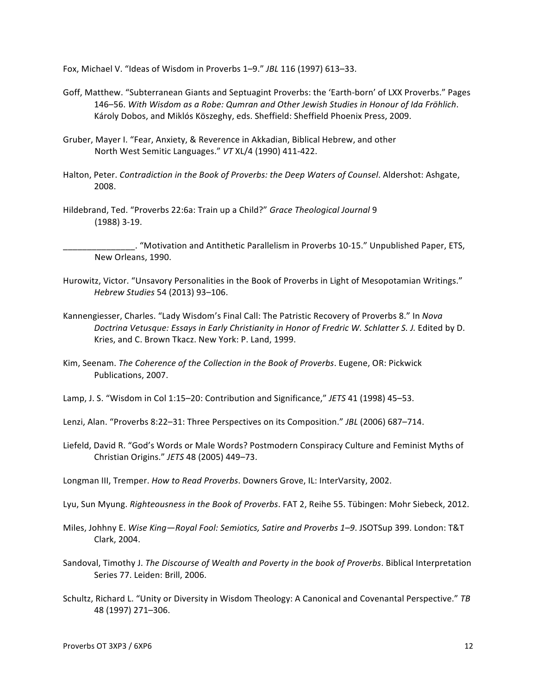Fox, Michael V. "Ideas of Wisdom in Proverbs 1–9." *JBL* 116 (1997) 613–33. 

- Goff, Matthew. "Subterranean Giants and Septuagint Proverbs: the 'Earth-born' of LXX Proverbs." Pages 146–56. *With Wisdom as a Robe: Qumran and Other Jewish Studies in Honour of Ida Frӧhlich*. Károly Dobos, and Miklós Köszeghy, eds. Sheffield: Sheffield Phoenix Press, 2009.
- Gruber, Mayer I. "Fear, Anxiety, & Reverence in Akkadian, Biblical Hebrew, and other North West Semitic Languages." VT XL/4 (1990) 411-422.
- Halton, Peter. *Contradiction in the Book of Proverbs: the Deep Waters of Counsel*. Aldershot: Ashgate, 2008.
- Hildebrand, Ted. "Proverbs 22:6a: Train up a Child?" *Grace Theological Journal* 9 (1988) 3-19.

\_\_\_\_\_\_\_\_\_\_\_\_\_\_\_. "Motivation and Antithetic Parallelism in Proverbs 10-15." Unpublished Paper, ETS, New Orleans, 1990.

- Hurowitz, Victor. "Unsavory Personalities in the Book of Proverbs in Light of Mesopotamian Writings." *Hebrew Studies* 54 (2013) 93–106.
- Kannengiesser, Charles. "Lady Wisdom's Final Call: The Patristic Recovery of Proverbs 8." In *Nova* Doctrina Vetusque: Essays in Early Christianity in Honor of Fredric W. Schlatter S. J. Edited by D. Kries, and C. Brown Tkacz. New York: P. Land, 1999.
- Kim, Seenam. *The Coherence of the Collection in the Book of Proverbs*. Eugene, OR: Pickwick Publications, 2007.
- Lamp, J. S. "Wisdom in Col 1:15-20: Contribution and Significance," JETS 41 (1998) 45-53.

Lenzi, Alan. "Proverbs 8:22-31: Three Perspectives on its Composition." *JBL* (2006) 687-714.

- Liefeld, David R. "God's Words or Male Words? Postmodern Conspiracy Culture and Feminist Myths of Christian Origins." *JETS* 48 (2005) 449–73.
- Longman III, Tremper. *How to Read Proverbs*. Downers Grove, IL: InterVarsity, 2002.
- Lyu, Sun Myung. *Righteousness in the Book of Proverbs*. FAT 2, Reihe 55. Tübingen: Mohr Siebeck, 2012.
- Miles, Johhny E. Wise King—Royal Fool: Semiotics, Satire and Proverbs 1–9. JSOTSup 399. London: T&T Clark, 2004.
- Sandoval, Timothy J. The Discourse of Wealth and Poverty in the book of Proverbs. Biblical Interpretation Series 77. Leiden: Brill, 2006.
- Schultz, Richard L. "Unity or Diversity in Wisdom Theology: A Canonical and Covenantal Perspective." TB 48 (1997) 271–306.